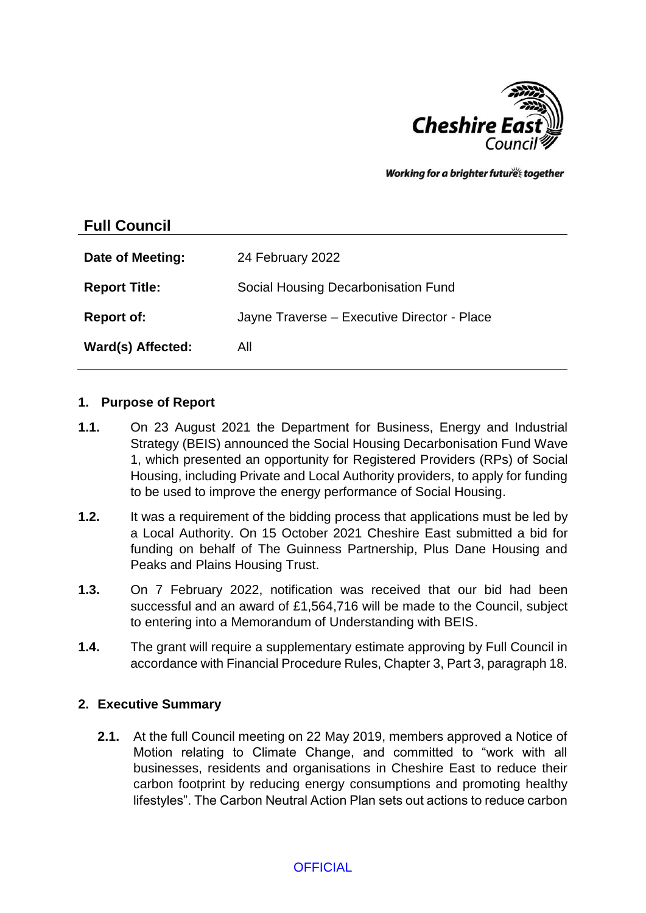

Working for a brighter futures together

# **Full Council**

| Date of Meeting:     | 24 February 2022                            |
|----------------------|---------------------------------------------|
| <b>Report Title:</b> | Social Housing Decarbonisation Fund         |
| <b>Report of:</b>    | Jayne Traverse - Executive Director - Place |
| Ward(s) Affected:    | All                                         |

### **1. Purpose of Report**

- **1.1.** On 23 August 2021 the Department for Business, Energy and Industrial Strategy (BEIS) announced the Social Housing Decarbonisation Fund Wave 1, which presented an opportunity for Registered Providers (RPs) of Social Housing, including Private and Local Authority providers, to apply for funding to be used to improve the energy performance of Social Housing.
- **1.2.** It was a requirement of the bidding process that applications must be led by a Local Authority. On 15 October 2021 Cheshire East submitted a bid for funding on behalf of The Guinness Partnership, Plus Dane Housing and Peaks and Plains Housing Trust.
- **1.3.** On 7 February 2022, notification was received that our bid had been successful and an award of £1,564,716 will be made to the Council, subject to entering into a Memorandum of Understanding with BEIS.
- **1.4.** The grant will require a supplementary estimate approving by Full Council in accordance with Financial Procedure Rules, Chapter 3, Part 3, paragraph 18.

### **2. Executive Summary**

**2.1.** At the full Council meeting on 22 May 2019, members approved a Notice of Motion relating to Climate Change, and committed to "work with all businesses, residents and organisations in Cheshire East to reduce their carbon footprint by reducing energy consumptions and promoting healthy lifestyles". The Carbon Neutral Action Plan sets out actions to reduce carbon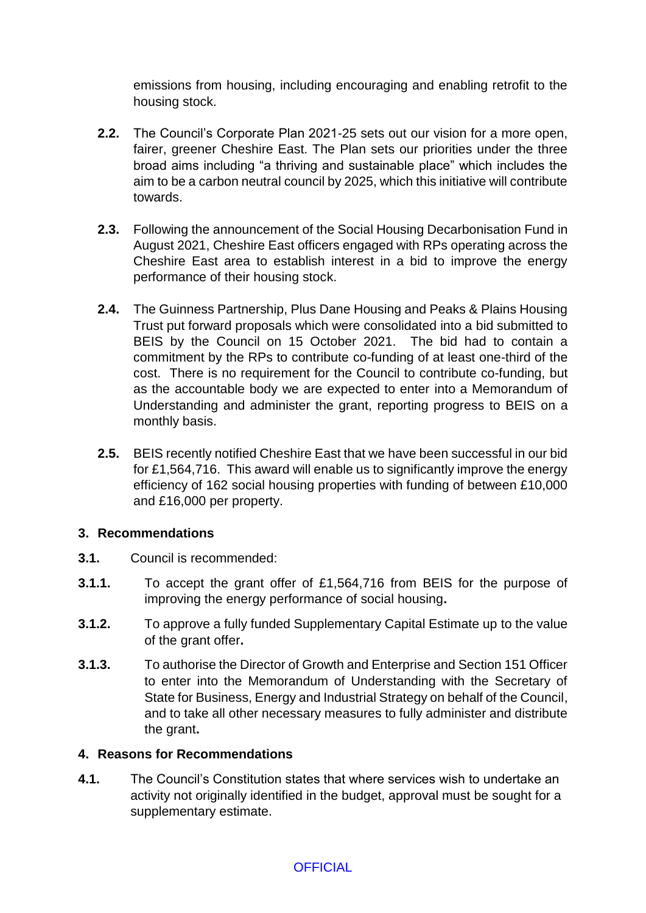emissions from housing, including encouraging and enabling retrofit to the housing stock.

- **2.2.** The Council's Corporate Plan 2021-25 sets out our vision for a more open, fairer, greener Cheshire East. The Plan sets our priorities under the three broad aims including "a thriving and sustainable place" which includes the aim to be a carbon neutral council by 2025, which this initiative will contribute towards.
- **2.3.** Following the announcement of the Social Housing Decarbonisation Fund in August 2021, Cheshire East officers engaged with RPs operating across the Cheshire East area to establish interest in a bid to improve the energy performance of their housing stock.
- **2.4.** The Guinness Partnership, Plus Dane Housing and Peaks & Plains Housing Trust put forward proposals which were consolidated into a bid submitted to BEIS by the Council on 15 October 2021. The bid had to contain a commitment by the RPs to contribute co-funding of at least one-third of the cost. There is no requirement for the Council to contribute co-funding, but as the accountable body we are expected to enter into a Memorandum of Understanding and administer the grant, reporting progress to BEIS on a monthly basis.
- **2.5.** BEIS recently notified Cheshire East that we have been successful in our bid for £1,564,716. This award will enable us to significantly improve the energy efficiency of 162 social housing properties with funding of between £10,000 and £16,000 per property.

# **3. Recommendations**

- **3.1.** Council is recommended:
- **3.1.1.** To accept the grant offer of £1,564,716 from BEIS for the purpose of improving the energy performance of social housing**.**
- **3.1.2.** To approve a fully funded Supplementary Capital Estimate up to the value of the grant offer**.**
- **3.1.3.** To authorise the Director of Growth and Enterprise and Section 151 Officer to enter into the Memorandum of Understanding with the Secretary of State for Business, Energy and Industrial Strategy on behalf of the Council, and to take all other necessary measures to fully administer and distribute the grant**.**

### **4. Reasons for Recommendations**

**4.1.** The Council's Constitution states that where services wish to undertake an activity not originally identified in the budget, approval must be sought for a supplementary estimate.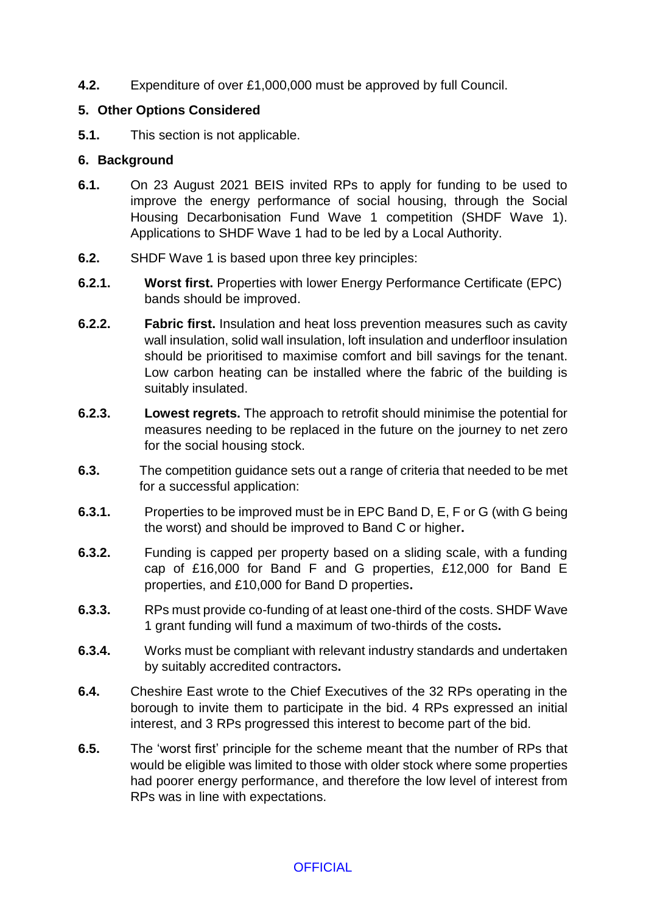**4.2.** Expenditure of over £1,000,000 must be approved by full Council.

### **5. Other Options Considered**

**5.1.** This section is not applicable.

### **6. Background**

- **6.1.** On 23 August 2021 BEIS invited RPs to apply for funding to be used to improve the energy performance of social housing, through the Social Housing Decarbonisation Fund Wave 1 competition (SHDF Wave 1). Applications to SHDF Wave 1 had to be led by a Local Authority.
- **6.2.** SHDF Wave 1 is based upon three key principles:
- **6.2.1. Worst first.** Properties with lower Energy Performance Certificate (EPC) bands should be improved.
- **6.2.2. Fabric first.** Insulation and heat loss prevention measures such as cavity wall insulation, solid wall insulation, loft insulation and underfloor insulation should be prioritised to maximise comfort and bill savings for the tenant. Low carbon heating can be installed where the fabric of the building is suitably insulated.
- **6.2.3. Lowest regrets.** The approach to retrofit should minimise the potential for measures needing to be replaced in the future on the journey to net zero for the social housing stock.
- **6.3.** The competition guidance sets out a range of criteria that needed to be met for a successful application:
- **6.3.1.** Properties to be improved must be in EPC Band D, E, F or G (with G being the worst) and should be improved to Band C or higher**.**
- **6.3.2.** Funding is capped per property based on a sliding scale, with a funding cap of £16,000 for Band F and G properties, £12,000 for Band E properties, and £10,000 for Band D properties**.**
- **6.3.3.** RPs must provide co-funding of at least one-third of the costs. SHDF Wave 1 grant funding will fund a maximum of two-thirds of the costs**.**
- **6.3.4.** Works must be compliant with relevant industry standards and undertaken by suitably accredited contractors**.**
- **6.4.** Cheshire East wrote to the Chief Executives of the 32 RPs operating in the borough to invite them to participate in the bid. 4 RPs expressed an initial interest, and 3 RPs progressed this interest to become part of the bid.
- **6.5.** The 'worst first' principle for the scheme meant that the number of RPs that would be eligible was limited to those with older stock where some properties had poorer energy performance, and therefore the low level of interest from RPs was in line with expectations.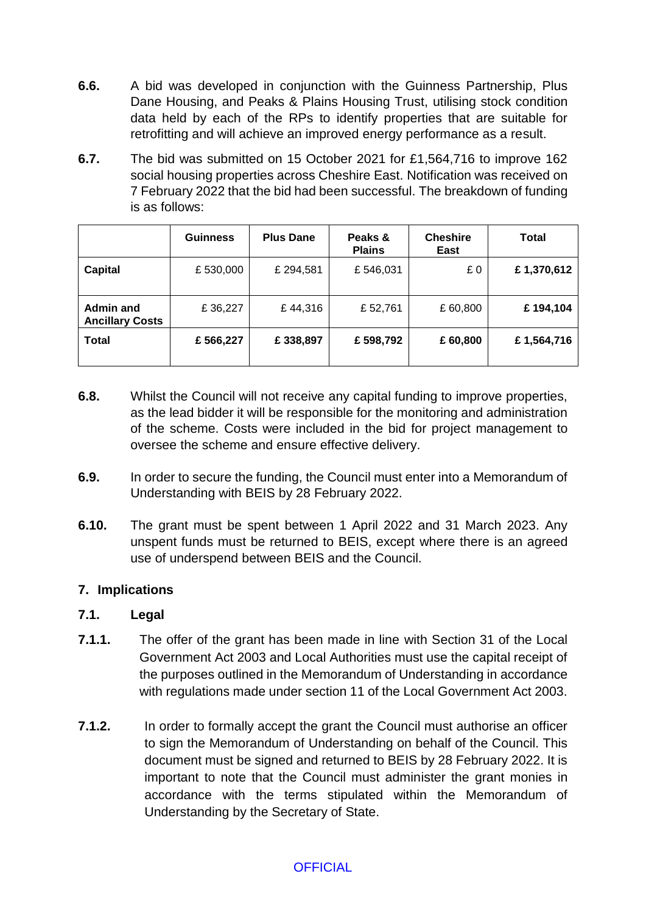- **6.6.** A bid was developed in conjunction with the Guinness Partnership, Plus Dane Housing, and Peaks & Plains Housing Trust, utilising stock condition data held by each of the RPs to identify properties that are suitable for retrofitting and will achieve an improved energy performance as a result.
- **6.7.** The bid was submitted on 15 October 2021 for £1,564,716 to improve 162 social housing properties across Cheshire East. Notification was received on 7 February 2022 that the bid had been successful. The breakdown of funding is as follows:

|                                            | <b>Guinness</b> | <b>Plus Dane</b> | Peaks &<br><b>Plains</b> | <b>Cheshire</b><br>East | <b>Total</b> |
|--------------------------------------------|-----------------|------------------|--------------------------|-------------------------|--------------|
| <b>Capital</b>                             | £530,000        | £ 294,581        | £546,031                 | £0                      | £1,370,612   |
| <b>Admin and</b><br><b>Ancillary Costs</b> | £36,227         | £44,316          | £52,761                  | £60,800                 | £194,104     |
| <b>Total</b>                               | £566,227        | £338,897         | £598,792                 | £ 60,800                | £1,564,716   |

- **6.8.** Whilst the Council will not receive any capital funding to improve properties, as the lead bidder it will be responsible for the monitoring and administration of the scheme. Costs were included in the bid for project management to oversee the scheme and ensure effective delivery.
- **6.9.** In order to secure the funding, the Council must enter into a Memorandum of Understanding with BEIS by 28 February 2022.
- **6.10.** The grant must be spent between 1 April 2022 and 31 March 2023. Any unspent funds must be returned to BEIS, except where there is an agreed use of underspend between BEIS and the Council.

# **7. Implications**

# **7.1. Legal**

- **7.1.1.** The offer of the grant has been made in line with Section 31 of the Local Government Act 2003 and Local Authorities must use the capital receipt of the purposes outlined in the Memorandum of Understanding in accordance with regulations made under section 11 of the Local Government Act 2003.
- **7.1.2.** In order to formally accept the grant the Council must authorise an officer to sign the Memorandum of Understanding on behalf of the Council. This document must be signed and returned to BEIS by 28 February 2022. It is important to note that the Council must administer the grant monies in accordance with the terms stipulated within the Memorandum of Understanding by the Secretary of State.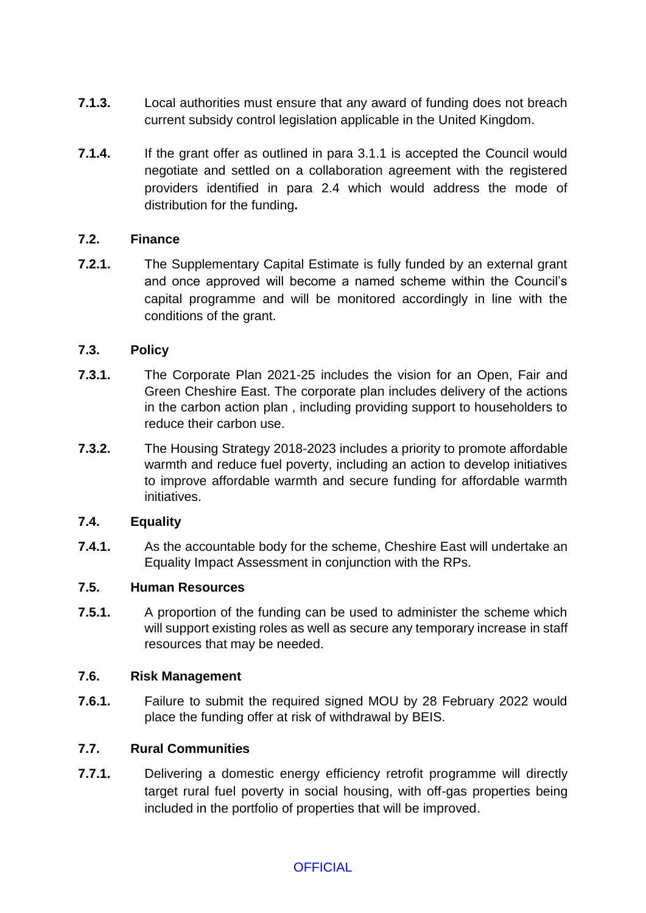- **7.1.3.** Local authorities must ensure that any award of funding does not breach current subsidy control legislation applicable in the United Kingdom.
- **7.1.4.** If the grant offer as outlined in para 3.1.1 is accepted the Council would negotiate and settled on a collaboration agreement with the registered providers identified in para 2.4 which would address the mode of distribution for the funding**.**

### **7.2. Finance**

**7.2.1.** The Supplementary Capital Estimate is fully funded by an external grant and once approved will become a named scheme within the Council's capital programme and will be monitored accordingly in line with the conditions of the grant.

# **7.3. Policy**

- **7.3.1.** The Corporate Plan 2021-25 includes the vision for an Open, Fair and Green Cheshire East. The corporate plan includes delivery of the actions in the carbon action plan , including providing support to householders to reduce their carbon use.
- **7.3.2.** The Housing Strategy 2018-2023 includes a priority to promote affordable warmth and reduce fuel poverty, including an action to develop initiatives to improve affordable warmth and secure funding for affordable warmth initiatives.

### **7.4. Equality**

**7.4.1.** As the accountable body for the scheme, Cheshire East will undertake an Equality Impact Assessment in conjunction with the RPs.

### **7.5. Human Resources**

**7.5.1.** A proportion of the funding can be used to administer the scheme which will support existing roles as well as secure any temporary increase in staff resources that may be needed.

### **7.6. Risk Management**

**7.6.1.** Failure to submit the required signed MOU by 28 February 2022 would place the funding offer at risk of withdrawal by BEIS.

# **7.7. Rural Communities**

**7.7.1.** Delivering a domestic energy efficiency retrofit programme will directly target rural fuel poverty in social housing, with off-gas properties being included in the portfolio of properties that will be improved.